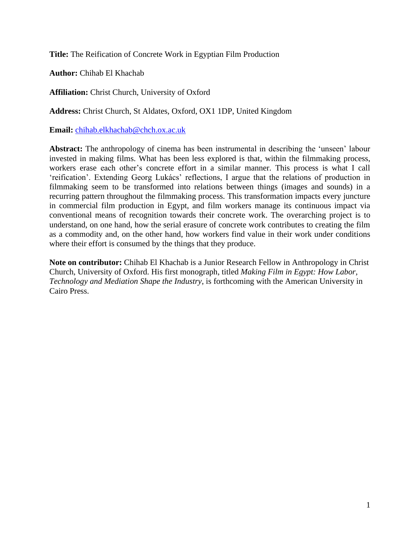**Title:** The Reification of Concrete Work in Egyptian Film Production

**Author:** Chihab El Khachab

**Affiliation:** Christ Church, University of Oxford

**Address:** Christ Church, St Aldates, Oxford, OX1 1DP, United Kingdom

**Email:** [chihab.elkhachab@chch.ox.ac.uk](mailto:chihab.elkhachab@chch.ox.ac.uk)

**Abstract:** The anthropology of cinema has been instrumental in describing the 'unseen' labour invested in making films. What has been less explored is that, within the filmmaking process, workers erase each other's concrete effort in a similar manner. This process is what I call 'reification'. Extending Georg Lukács' reflections, I argue that the relations of production in filmmaking seem to be transformed into relations between things (images and sounds) in a recurring pattern throughout the filmmaking process. This transformation impacts every juncture in commercial film production in Egypt, and film workers manage its continuous impact via conventional means of recognition towards their concrete work. The overarching project is to understand, on one hand, how the serial erasure of concrete work contributes to creating the film as a commodity and, on the other hand, how workers find value in their work under conditions where their effort is consumed by the things that they produce.

**Note on contributor:** Chihab El Khachab is a Junior Research Fellow in Anthropology in Christ Church, University of Oxford. His first monograph, titled *Making Film in Egypt: How Labor, Technology and Mediation Shape the Industry*, is forthcoming with the American University in Cairo Press.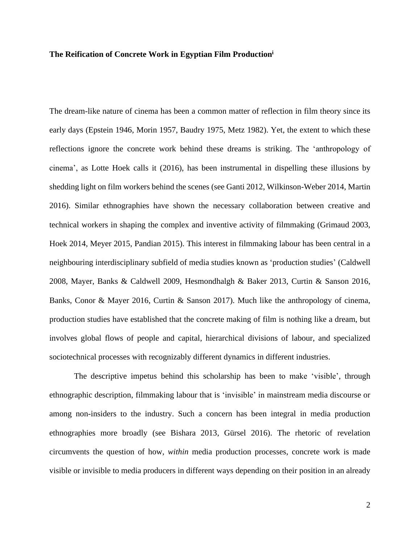# **The Reification of Concrete Work in Egyptian Film Production<sup>i</sup>**

The dream-like nature of cinema has been a common matter of reflection in film theory since its early days (Epstein 1946, Morin 1957, Baudry 1975, Metz 1982). Yet, the extent to which these reflections ignore the concrete work behind these dreams is striking. The 'anthropology of cinema', as Lotte Hoek calls it (2016), has been instrumental in dispelling these illusions by shedding light on film workers behind the scenes (see Ganti 2012, Wilkinson-Weber 2014, Martin 2016). Similar ethnographies have shown the necessary collaboration between creative and technical workers in shaping the complex and inventive activity of filmmaking (Grimaud 2003, Hoek 2014, Meyer 2015, Pandian 2015). This interest in filmmaking labour has been central in a neighbouring interdisciplinary subfield of media studies known as 'production studies' (Caldwell 2008, Mayer, Banks & Caldwell 2009, Hesmondhalgh & Baker 2013, Curtin & Sanson 2016, Banks, Conor & Mayer 2016, Curtin & Sanson 2017). Much like the anthropology of cinema, production studies have established that the concrete making of film is nothing like a dream, but involves global flows of people and capital, hierarchical divisions of labour, and specialized sociotechnical processes with recognizably different dynamics in different industries.

The descriptive impetus behind this scholarship has been to make 'visible', through ethnographic description, filmmaking labour that is 'invisible' in mainstream media discourse or among non-insiders to the industry. Such a concern has been integral in media production ethnographies more broadly (see Bishara 2013, Gürsel 2016). The rhetoric of revelation circumvents the question of how, *within* media production processes, concrete work is made visible or invisible to media producers in different ways depending on their position in an already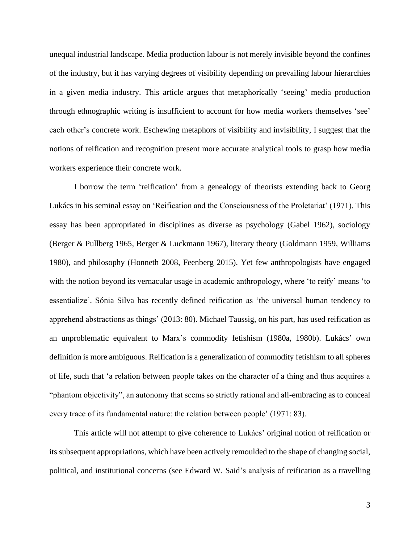unequal industrial landscape. Media production labour is not merely invisible beyond the confines of the industry, but it has varying degrees of visibility depending on prevailing labour hierarchies in a given media industry. This article argues that metaphorically 'seeing' media production through ethnographic writing is insufficient to account for how media workers themselves 'see' each other's concrete work. Eschewing metaphors of visibility and invisibility, I suggest that the notions of reification and recognition present more accurate analytical tools to grasp how media workers experience their concrete work.

I borrow the term 'reification' from a genealogy of theorists extending back to Georg Lukács in his seminal essay on 'Reification and the Consciousness of the Proletariat' (1971). This essay has been appropriated in disciplines as diverse as psychology (Gabel 1962), sociology (Berger & Pullberg 1965, Berger & Luckmann 1967), literary theory (Goldmann 1959, Williams 1980), and philosophy (Honneth 2008, Feenberg 2015). Yet few anthropologists have engaged with the notion beyond its vernacular usage in academic anthropology, where 'to reify' means 'to essentialize'. Sónia Silva has recently defined reification as 'the universal human tendency to apprehend abstractions as things' (2013: 80). Michael Taussig, on his part, has used reification as an unproblematic equivalent to Marx's commodity fetishism (1980a, 1980b). Lukács' own definition is more ambiguous. Reification is a generalization of commodity fetishism to all spheres of life, such that 'a relation between people takes on the character of a thing and thus acquires a "phantom objectivity", an autonomy that seems so strictly rational and all-embracing as to conceal every trace of its fundamental nature: the relation between people' (1971: 83).

This article will not attempt to give coherence to Lukács' original notion of reification or its subsequent appropriations, which have been actively remoulded to the shape of changing social, political, and institutional concerns (see Edward W. Said's analysis of reification as a travelling

3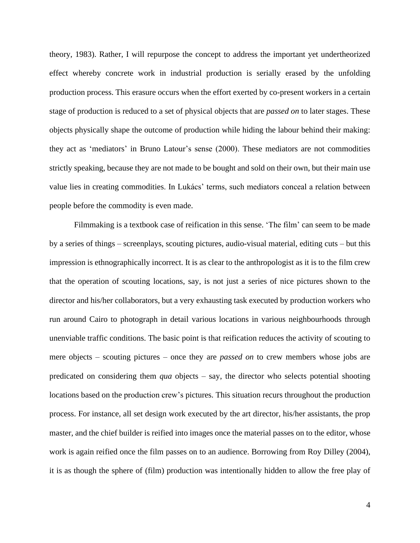theory, 1983). Rather, I will repurpose the concept to address the important yet undertheorized effect whereby concrete work in industrial production is serially erased by the unfolding production process. This erasure occurs when the effort exerted by co-present workers in a certain stage of production is reduced to a set of physical objects that are *passed on* to later stages. These objects physically shape the outcome of production while hiding the labour behind their making: they act as 'mediators' in Bruno Latour's sense (2000). These mediators are not commodities strictly speaking, because they are not made to be bought and sold on their own, but their main use value lies in creating commodities. In Lukács' terms, such mediators conceal a relation between people before the commodity is even made.

Filmmaking is a textbook case of reification in this sense. 'The film' can seem to be made by a series of things – screenplays, scouting pictures, audio-visual material, editing cuts – but this impression is ethnographically incorrect. It is as clear to the anthropologist as it is to the film crew that the operation of scouting locations, say, is not just a series of nice pictures shown to the director and his/her collaborators, but a very exhausting task executed by production workers who run around Cairo to photograph in detail various locations in various neighbourhoods through unenviable traffic conditions. The basic point is that reification reduces the activity of scouting to mere objects – scouting pictures – once they are *passed on* to crew members whose jobs are predicated on considering them *qua* objects – say, the director who selects potential shooting locations based on the production crew's pictures. This situation recurs throughout the production process. For instance, all set design work executed by the art director, his/her assistants, the prop master, and the chief builder is reified into images once the material passes on to the editor, whose work is again reified once the film passes on to an audience. Borrowing from Roy Dilley (2004), it is as though the sphere of (film) production was intentionally hidden to allow the free play of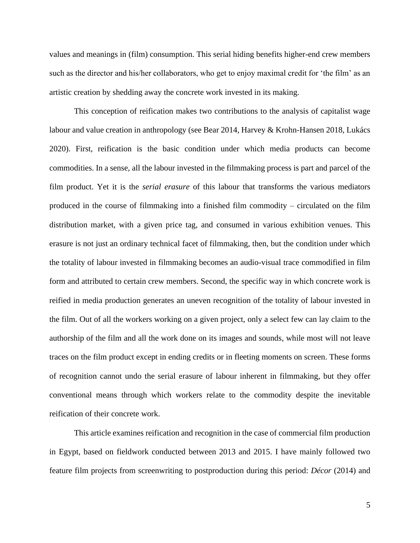values and meanings in (film) consumption. This serial hiding benefits higher-end crew members such as the director and his/her collaborators, who get to enjoy maximal credit for 'the film' as an artistic creation by shedding away the concrete work invested in its making.

This conception of reification makes two contributions to the analysis of capitalist wage labour and value creation in anthropology (see Bear 2014, Harvey & Krohn-Hansen 2018, Lukács 2020). First, reification is the basic condition under which media products can become commodities. In a sense, all the labour invested in the filmmaking process is part and parcel of the film product. Yet it is the *serial erasure* of this labour that transforms the various mediators produced in the course of filmmaking into a finished film commodity – circulated on the film distribution market, with a given price tag, and consumed in various exhibition venues. This erasure is not just an ordinary technical facet of filmmaking, then, but the condition under which the totality of labour invested in filmmaking becomes an audio-visual trace commodified in film form and attributed to certain crew members. Second, the specific way in which concrete work is reified in media production generates an uneven recognition of the totality of labour invested in the film. Out of all the workers working on a given project, only a select few can lay claim to the authorship of the film and all the work done on its images and sounds, while most will not leave traces on the film product except in ending credits or in fleeting moments on screen. These forms of recognition cannot undo the serial erasure of labour inherent in filmmaking, but they offer conventional means through which workers relate to the commodity despite the inevitable reification of their concrete work.

This article examines reification and recognition in the case of commercial film production in Egypt, based on fieldwork conducted between 2013 and 2015. I have mainly followed two feature film projects from screenwriting to postproduction during this period: *Décor* (2014) and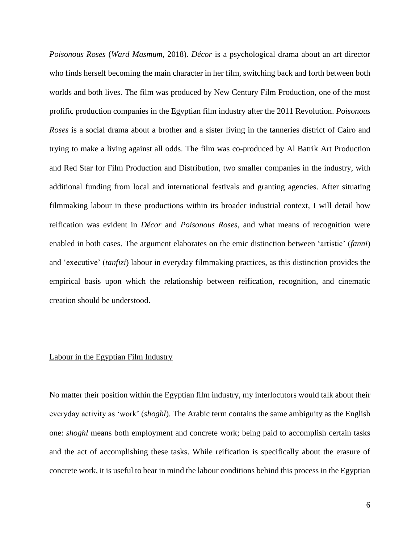*Poisonous Roses* (*Ward Masmum,* 2018). *Décor* is a psychological drama about an art director who finds herself becoming the main character in her film, switching back and forth between both worlds and both lives. The film was produced by New Century Film Production, one of the most prolific production companies in the Egyptian film industry after the 2011 Revolution. *Poisonous Roses* is a social drama about a brother and a sister living in the tanneries district of Cairo and trying to make a living against all odds. The film was co-produced by Al Batrik Art Production and Red Star for Film Production and Distribution, two smaller companies in the industry, with additional funding from local and international festivals and granting agencies. After situating filmmaking labour in these productions within its broader industrial context, I will detail how reification was evident in *Décor* and *Poisonous Roses*, and what means of recognition were enabled in both cases. The argument elaborates on the emic distinction between 'artistic' (*fanni*) and 'executive' (*tanfizi*) labour in everyday filmmaking practices, as this distinction provides the empirical basis upon which the relationship between reification, recognition, and cinematic creation should be understood.

# Labour in the Egyptian Film Industry

No matter their position within the Egyptian film industry, my interlocutors would talk about their everyday activity as 'work' (*shoghl*). The Arabic term contains the same ambiguity as the English one: *shoghl* means both employment and concrete work; being paid to accomplish certain tasks and the act of accomplishing these tasks. While reification is specifically about the erasure of concrete work, it is useful to bear in mind the labour conditions behind this process in the Egyptian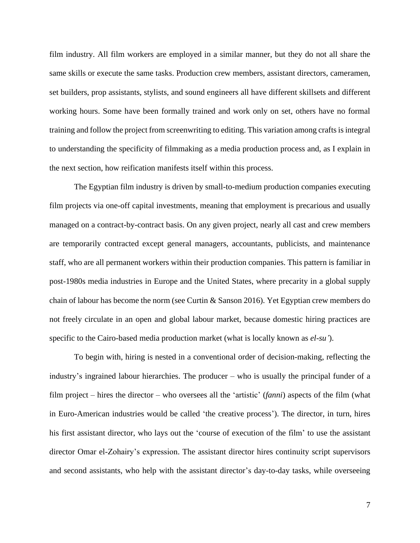film industry. All film workers are employed in a similar manner, but they do not all share the same skills or execute the same tasks. Production crew members, assistant directors, cameramen, set builders, prop assistants, stylists, and sound engineers all have different skillsets and different working hours. Some have been formally trained and work only on set, others have no formal training and follow the project from screenwriting to editing. This variation among crafts is integral to understanding the specificity of filmmaking as a media production process and, as I explain in the next section, how reification manifests itself within this process.

The Egyptian film industry is driven by small-to-medium production companies executing film projects via one-off capital investments, meaning that employment is precarious and usually managed on a contract-by-contract basis. On any given project, nearly all cast and crew members are temporarily contracted except general managers, accountants, publicists, and maintenance staff, who are all permanent workers within their production companies. This pattern is familiar in post-1980s media industries in Europe and the United States, where precarity in a global supply chain of labour has become the norm (see Curtin & Sanson 2016). Yet Egyptian crew members do not freely circulate in an open and global labour market, because domestic hiring practices are specific to the Cairo-based media production market (what is locally known as *el-su'*).

To begin with, hiring is nested in a conventional order of decision-making, reflecting the industry's ingrained labour hierarchies. The producer – who is usually the principal funder of a film project – hires the director – who oversees all the 'artistic' (*fanni*) aspects of the film (what in Euro-American industries would be called 'the creative process'). The director, in turn, hires his first assistant director, who lays out the 'course of execution of the film' to use the assistant director Omar el-Zohairy's expression. The assistant director hires continuity script supervisors and second assistants, who help with the assistant director's day-to-day tasks, while overseeing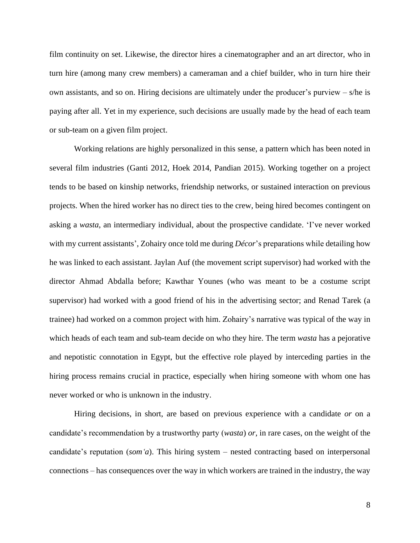film continuity on set. Likewise, the director hires a cinematographer and an art director, who in turn hire (among many crew members) a cameraman and a chief builder, who in turn hire their own assistants, and so on. Hiring decisions are ultimately under the producer's purview – s/he is paying after all. Yet in my experience, such decisions are usually made by the head of each team or sub-team on a given film project.

Working relations are highly personalized in this sense, a pattern which has been noted in several film industries (Ganti 2012, Hoek 2014, Pandian 2015). Working together on a project tends to be based on kinship networks, friendship networks, or sustained interaction on previous projects. When the hired worker has no direct ties to the crew, being hired becomes contingent on asking a *wasta*, an intermediary individual, about the prospective candidate. 'I've never worked with my current assistants', Zohairy once told me during *Décor*'s preparations while detailing how he was linked to each assistant. Jaylan Auf (the movement script supervisor) had worked with the director Ahmad Abdalla before; Kawthar Younes (who was meant to be a costume script supervisor) had worked with a good friend of his in the advertising sector; and Renad Tarek (a trainee) had worked on a common project with him. Zohairy's narrative was typical of the way in which heads of each team and sub-team decide on who they hire. The term *wasta* has a pejorative and nepotistic connotation in Egypt, but the effective role played by interceding parties in the hiring process remains crucial in practice, especially when hiring someone with whom one has never worked or who is unknown in the industry.

Hiring decisions, in short, are based on previous experience with a candidate *or* on a candidate's recommendation by a trustworthy party (*wasta*) *or*, in rare cases, on the weight of the candidate's reputation (*som'a*). This hiring system – nested contracting based on interpersonal connections – has consequences over the way in which workers are trained in the industry, the way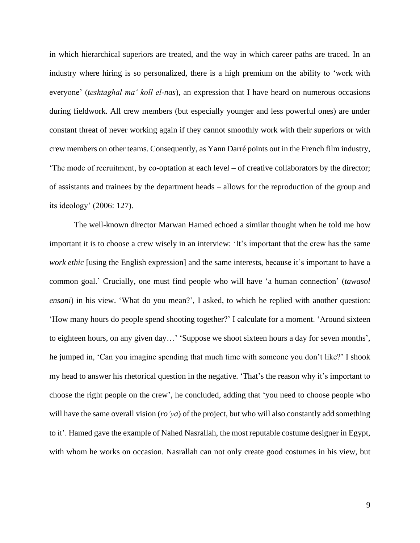in which hierarchical superiors are treated, and the way in which career paths are traced. In an industry where hiring is so personalized, there is a high premium on the ability to 'work with everyone' (*teshtaghal ma' koll el-nas*), an expression that I have heard on numerous occasions during fieldwork. All crew members (but especially younger and less powerful ones) are under constant threat of never working again if they cannot smoothly work with their superiors or with crew members on other teams. Consequently, as Yann Darré points out in the French film industry, 'The mode of recruitment, by co-optation at each level – of creative collaborators by the director; of assistants and trainees by the department heads – allows for the reproduction of the group and its ideology' (2006: 127).

The well-known director Marwan Hamed echoed a similar thought when he told me how important it is to choose a crew wisely in an interview: 'It's important that the crew has the same *work ethic* [using the English expression] and the same interests, because it's important to have a common goal.' Crucially, one must find people who will have 'a human connection' (*tawasol ensani*) in his view. 'What do you mean?', I asked, to which he replied with another question: 'How many hours do people spend shooting together?' I calculate for a moment. 'Around sixteen to eighteen hours, on any given day…' 'Suppose we shoot sixteen hours a day for seven months', he jumped in, 'Can you imagine spending that much time with someone you don't like?' I shook my head to answer his rhetorical question in the negative. 'That's the reason why it's important to choose the right people on the crew', he concluded, adding that 'you need to choose people who will have the same overall vision (*ro'ya*) of the project, but who will also constantly add something to it'. Hamed gave the example of Nahed Nasrallah, the most reputable costume designer in Egypt, with whom he works on occasion. Nasrallah can not only create good costumes in his view, but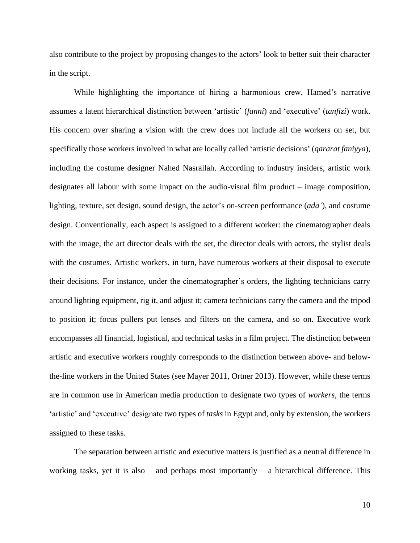also contribute to the project by proposing changes to the actors' look to better suit their character in the script.

While highlighting the importance of hiring a harmonious crew, Hamed's narrative assumes a latent hierarchical distinction between 'artistic' (*fanni*) and 'executive' (*tanfizi*) work. His concern over sharing a vision with the crew does not include all the workers on set, but specifically those workers involved in what are locally called 'artistic decisions' (*qararat faniyya*), including the costume designer Nahed Nasrallah. According to industry insiders, artistic work designates all labour with some impact on the audio-visual film product – image composition, lighting, texture, set design, sound design, the actor's on-screen performance (*ada'*), and costume design. Conventionally, each aspect is assigned to a different worker: the cinematographer deals with the image, the art director deals with the set, the director deals with actors, the stylist deals with the costumes. Artistic workers, in turn, have numerous workers at their disposal to execute their decisions. For instance, under the cinematographer's orders, the lighting technicians carry around lighting equipment, rig it, and adjust it; camera technicians carry the camera and the tripod to position it; focus pullers put lenses and filters on the camera, and so on. Executive work encompasses all financial, logistical, and technical tasks in a film project. The distinction between artistic and executive workers roughly corresponds to the distinction between above- and belowthe-line workers in the United States (see Mayer 2011, Ortner 2013). However, while these terms are in common use in American media production to designate two types of *workers*, the terms 'artistic' and 'executive' designate two types of *tasks* in Egypt and, only by extension, the workers assigned to these tasks.

The separation between artistic and executive matters is justified as a neutral difference in working tasks, yet it is also – and perhaps most importantly – a hierarchical difference. This

10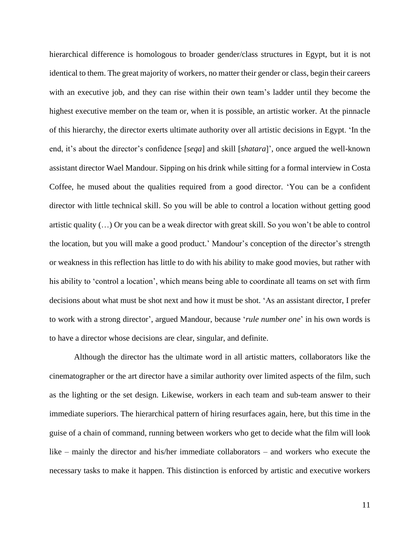hierarchical difference is homologous to broader gender/class structures in Egypt, but it is not identical to them. The great majority of workers, no matter their gender or class, begin their careers with an executive job, and they can rise within their own team's ladder until they become the highest executive member on the team or, when it is possible, an artistic worker. At the pinnacle of this hierarchy, the director exerts ultimate authority over all artistic decisions in Egypt. 'In the end, it's about the director's confidence [*seqa*] and skill [*shatara*]', once argued the well-known assistant director Wael Mandour. Sipping on his drink while sitting for a formal interview in Costa Coffee, he mused about the qualities required from a good director. 'You can be a confident director with little technical skill. So you will be able to control a location without getting good artistic quality (…) Or you can be a weak director with great skill. So you won't be able to control the location, but you will make a good product.' Mandour's conception of the director's strength or weakness in this reflection has little to do with his ability to make good movies, but rather with his ability to 'control a location', which means being able to coordinate all teams on set with firm decisions about what must be shot next and how it must be shot. 'As an assistant director, I prefer to work with a strong director', argued Mandour, because '*rule number one*' in his own words is to have a director whose decisions are clear, singular, and definite.

Although the director has the ultimate word in all artistic matters, collaborators like the cinematographer or the art director have a similar authority over limited aspects of the film, such as the lighting or the set design. Likewise, workers in each team and sub-team answer to their immediate superiors. The hierarchical pattern of hiring resurfaces again, here, but this time in the guise of a chain of command, running between workers who get to decide what the film will look like – mainly the director and his/her immediate collaborators – and workers who execute the necessary tasks to make it happen. This distinction is enforced by artistic and executive workers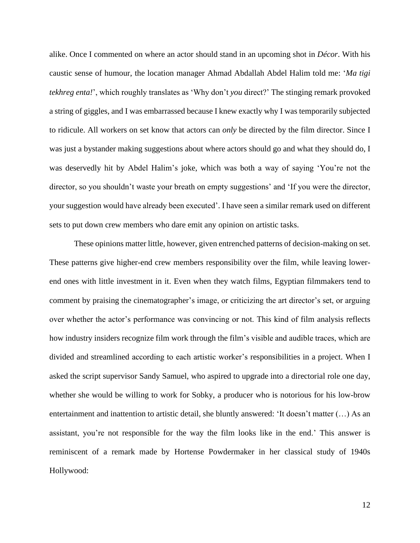alike. Once I commented on where an actor should stand in an upcoming shot in *Décor*. With his caustic sense of humour, the location manager Ahmad Abdallah Abdel Halim told me: '*Ma tigi tekhreg enta!*', which roughly translates as 'Why don't *you* direct?' The stinging remark provoked a string of giggles, and I was embarrassed because I knew exactly why I was temporarily subjected to ridicule. All workers on set know that actors can *only* be directed by the film director. Since I was just a bystander making suggestions about where actors should go and what they should do, I was deservedly hit by Abdel Halim's joke, which was both a way of saying 'You're not the director, so you shouldn't waste your breath on empty suggestions' and 'If you were the director, your suggestion would have already been executed'. I have seen a similar remark used on different sets to put down crew members who dare emit any opinion on artistic tasks.

These opinions matter little, however, given entrenched patterns of decision-making on set. These patterns give higher-end crew members responsibility over the film, while leaving lowerend ones with little investment in it. Even when they watch films, Egyptian filmmakers tend to comment by praising the cinematographer's image, or criticizing the art director's set, or arguing over whether the actor's performance was convincing or not. This kind of film analysis reflects how industry insiders recognize film work through the film's visible and audible traces, which are divided and streamlined according to each artistic worker's responsibilities in a project. When I asked the script supervisor Sandy Samuel, who aspired to upgrade into a directorial role one day, whether she would be willing to work for Sobky, a producer who is notorious for his low-brow entertainment and inattention to artistic detail, she bluntly answered: 'It doesn't matter (…) As an assistant, you're not responsible for the way the film looks like in the end.' This answer is reminiscent of a remark made by Hortense Powdermaker in her classical study of 1940s Hollywood: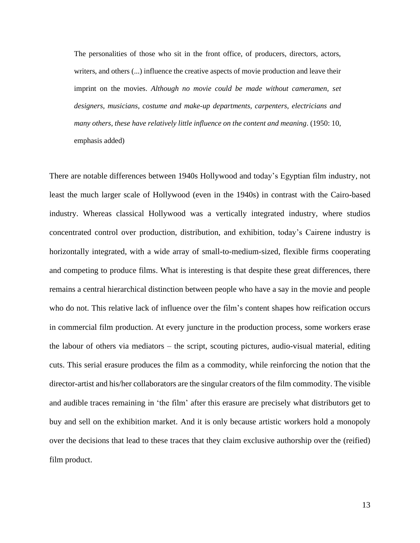The personalities of those who sit in the front office, of producers, directors, actors, writers, and others (...) influence the creative aspects of movie production and leave their imprint on the movies. *Although no movie could be made without cameramen, set designers, musicians, costume and make-up departments, carpenters, electricians and many others, these have relatively little influence on the content and meaning*. (1950: 10, emphasis added)

There are notable differences between 1940s Hollywood and today's Egyptian film industry, not least the much larger scale of Hollywood (even in the 1940s) in contrast with the Cairo-based industry. Whereas classical Hollywood was a vertically integrated industry, where studios concentrated control over production, distribution, and exhibition, today's Cairene industry is horizontally integrated, with a wide array of small-to-medium-sized, flexible firms cooperating and competing to produce films. What is interesting is that despite these great differences, there remains a central hierarchical distinction between people who have a say in the movie and people who do not. This relative lack of influence over the film's content shapes how reification occurs in commercial film production. At every juncture in the production process, some workers erase the labour of others via mediators – the script, scouting pictures, audio-visual material, editing cuts. This serial erasure produces the film as a commodity, while reinforcing the notion that the director-artist and his/her collaborators are the singular creators of the film commodity. The visible and audible traces remaining in 'the film' after this erasure are precisely what distributors get to buy and sell on the exhibition market. And it is only because artistic workers hold a monopoly over the decisions that lead to these traces that they claim exclusive authorship over the (reified) film product.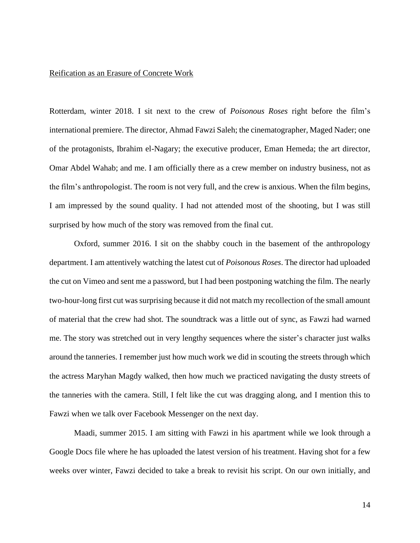# Reification as an Erasure of Concrete Work

Rotterdam, winter 2018. I sit next to the crew of *Poisonous Roses* right before the film's international premiere. The director, Ahmad Fawzi Saleh; the cinematographer, Maged Nader; one of the protagonists, Ibrahim el-Nagary; the executive producer, Eman Hemeda; the art director, Omar Abdel Wahab; and me. I am officially there as a crew member on industry business, not as the film's anthropologist. The room is not very full, and the crew is anxious. When the film begins, I am impressed by the sound quality. I had not attended most of the shooting, but I was still surprised by how much of the story was removed from the final cut.

Oxford, summer 2016. I sit on the shabby couch in the basement of the anthropology department. I am attentively watching the latest cut of *Poisonous Roses*. The director had uploaded the cut on Vimeo and sent me a password, but I had been postponing watching the film. The nearly two-hour-long first cut was surprising because it did not match my recollection of the small amount of material that the crew had shot. The soundtrack was a little out of sync, as Fawzi had warned me. The story was stretched out in very lengthy sequences where the sister's character just walks around the tanneries. I remember just how much work we did in scouting the streets through which the actress Maryhan Magdy walked, then how much we practiced navigating the dusty streets of the tanneries with the camera. Still, I felt like the cut was dragging along, and I mention this to Fawzi when we talk over Facebook Messenger on the next day.

Maadi, summer 2015. I am sitting with Fawzi in his apartment while we look through a Google Docs file where he has uploaded the latest version of his treatment. Having shot for a few weeks over winter, Fawzi decided to take a break to revisit his script. On our own initially, and

14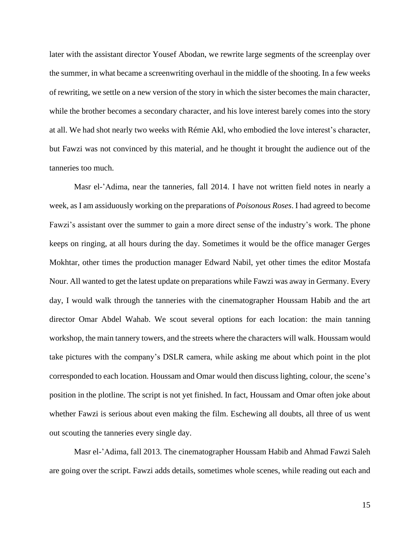later with the assistant director Yousef Abodan, we rewrite large segments of the screenplay over the summer, in what became a screenwriting overhaul in the middle of the shooting. In a few weeks of rewriting, we settle on a new version of the story in which the sister becomes the main character, while the brother becomes a secondary character, and his love interest barely comes into the story at all. We had shot nearly two weeks with Rémie Akl, who embodied the love interest's character, but Fawzi was not convinced by this material, and he thought it brought the audience out of the tanneries too much.

Masr el-'Adima, near the tanneries, fall 2014. I have not written field notes in nearly a week, as I am assiduously working on the preparations of *Poisonous Roses*. I had agreed to become Fawzi's assistant over the summer to gain a more direct sense of the industry's work. The phone keeps on ringing, at all hours during the day. Sometimes it would be the office manager Gerges Mokhtar, other times the production manager Edward Nabil, yet other times the editor Mostafa Nour. All wanted to get the latest update on preparations while Fawzi was away in Germany. Every day, I would walk through the tanneries with the cinematographer Houssam Habib and the art director Omar Abdel Wahab. We scout several options for each location: the main tanning workshop, the main tannery towers, and the streets where the characters will walk. Houssam would take pictures with the company's DSLR camera, while asking me about which point in the plot corresponded to each location. Houssam and Omar would then discuss lighting, colour, the scene's position in the plotline. The script is not yet finished. In fact, Houssam and Omar often joke about whether Fawzi is serious about even making the film. Eschewing all doubts, all three of us went out scouting the tanneries every single day.

Masr el-'Adima, fall 2013. The cinematographer Houssam Habib and Ahmad Fawzi Saleh are going over the script. Fawzi adds details, sometimes whole scenes, while reading out each and

15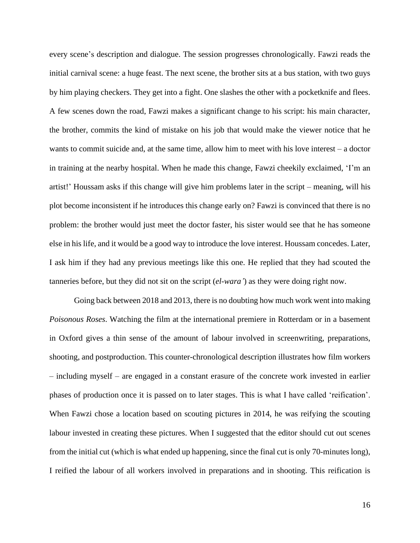every scene's description and dialogue. The session progresses chronologically. Fawzi reads the initial carnival scene: a huge feast. The next scene, the brother sits at a bus station, with two guys by him playing checkers. They get into a fight. One slashes the other with a pocketknife and flees. A few scenes down the road, Fawzi makes a significant change to his script: his main character, the brother, commits the kind of mistake on his job that would make the viewer notice that he wants to commit suicide and, at the same time, allow him to meet with his love interest – a doctor in training at the nearby hospital. When he made this change, Fawzi cheekily exclaimed, 'I'm an artist!' Houssam asks if this change will give him problems later in the script – meaning, will his plot become inconsistent if he introduces this change early on? Fawzi is convinced that there is no problem: the brother would just meet the doctor faster, his sister would see that he has someone else in his life, and it would be a good way to introduce the love interest. Houssam concedes. Later, I ask him if they had any previous meetings like this one. He replied that they had scouted the tanneries before, but they did not sit on the script (*el-wara'*) as they were doing right now.

Going back between 2018 and 2013, there is no doubting how much work went into making *Poisonous Roses*. Watching the film at the international premiere in Rotterdam or in a basement in Oxford gives a thin sense of the amount of labour involved in screenwriting, preparations, shooting, and postproduction. This counter-chronological description illustrates how film workers – including myself – are engaged in a constant erasure of the concrete work invested in earlier phases of production once it is passed on to later stages. This is what I have called 'reification'. When Fawzi chose a location based on scouting pictures in 2014, he was reifying the scouting labour invested in creating these pictures. When I suggested that the editor should cut out scenes from the initial cut (which is what ended up happening, since the final cut is only 70-minutes long), I reified the labour of all workers involved in preparations and in shooting. This reification is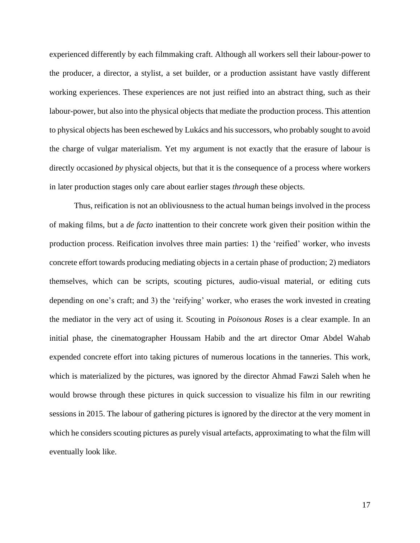experienced differently by each filmmaking craft. Although all workers sell their labour-power to the producer, a director, a stylist, a set builder, or a production assistant have vastly different working experiences. These experiences are not just reified into an abstract thing, such as their labour-power, but also into the physical objects that mediate the production process. This attention to physical objects has been eschewed by Lukács and his successors, who probably sought to avoid the charge of vulgar materialism. Yet my argument is not exactly that the erasure of labour is directly occasioned *by* physical objects, but that it is the consequence of a process where workers in later production stages only care about earlier stages *through* these objects.

Thus, reification is not an obliviousness to the actual human beings involved in the process of making films, but a *de facto* inattention to their concrete work given their position within the production process. Reification involves three main parties: 1) the 'reified' worker, who invests concrete effort towards producing mediating objects in a certain phase of production; 2) mediators themselves, which can be scripts, scouting pictures, audio-visual material, or editing cuts depending on one's craft; and 3) the 'reifying' worker, who erases the work invested in creating the mediator in the very act of using it. Scouting in *Poisonous Roses* is a clear example. In an initial phase, the cinematographer Houssam Habib and the art director Omar Abdel Wahab expended concrete effort into taking pictures of numerous locations in the tanneries. This work, which is materialized by the pictures, was ignored by the director Ahmad Fawzi Saleh when he would browse through these pictures in quick succession to visualize his film in our rewriting sessions in 2015. The labour of gathering pictures is ignored by the director at the very moment in which he considers scouting pictures as purely visual artefacts, approximating to what the film will eventually look like.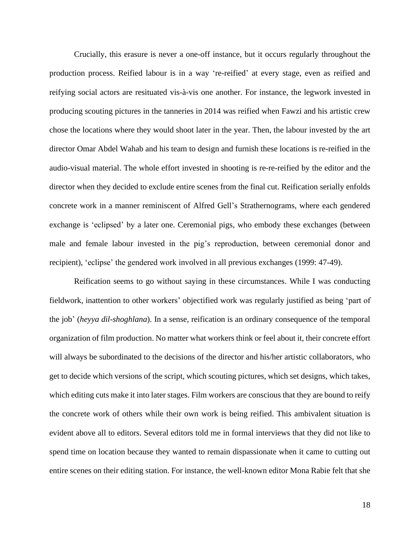Crucially, this erasure is never a one-off instance, but it occurs regularly throughout the production process. Reified labour is in a way 're-reified' at every stage, even as reified and reifying social actors are resituated vis-à-vis one another. For instance, the legwork invested in producing scouting pictures in the tanneries in 2014 was reified when Fawzi and his artistic crew chose the locations where they would shoot later in the year. Then, the labour invested by the art director Omar Abdel Wahab and his team to design and furnish these locations is re-reified in the audio-visual material. The whole effort invested in shooting is re-re-reified by the editor and the director when they decided to exclude entire scenes from the final cut. Reification serially enfolds concrete work in a manner reminiscent of Alfred Gell's Strathernograms, where each gendered exchange is 'eclipsed' by a later one. Ceremonial pigs, who embody these exchanges (between male and female labour invested in the pig's reproduction, between ceremonial donor and recipient), 'eclipse' the gendered work involved in all previous exchanges (1999: 47-49).

Reification seems to go without saying in these circumstances. While I was conducting fieldwork, inattention to other workers' objectified work was regularly justified as being 'part of the job' (*heyya dil-shoghlana*). In a sense, reification is an ordinary consequence of the temporal organization of film production. No matter what workers think or feel about it, their concrete effort will always be subordinated to the decisions of the director and his/her artistic collaborators, who get to decide which versions of the script, which scouting pictures, which set designs, which takes, which editing cuts make it into later stages. Film workers are conscious that they are bound to reify the concrete work of others while their own work is being reified. This ambivalent situation is evident above all to editors. Several editors told me in formal interviews that they did not like to spend time on location because they wanted to remain dispassionate when it came to cutting out entire scenes on their editing station. For instance, the well-known editor Mona Rabie felt that she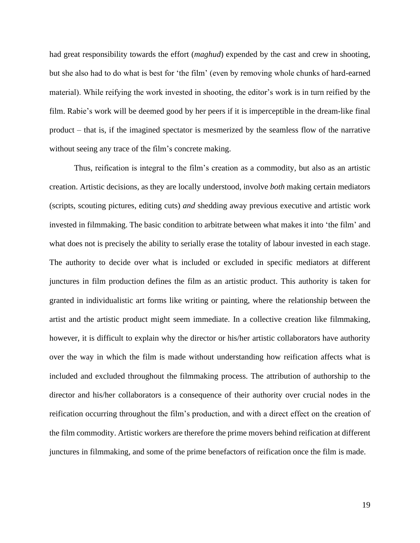had great responsibility towards the effort (*maghud*) expended by the cast and crew in shooting, but she also had to do what is best for 'the film' (even by removing whole chunks of hard-earned material). While reifying the work invested in shooting, the editor's work is in turn reified by the film. Rabie's work will be deemed good by her peers if it is imperceptible in the dream-like final product – that is, if the imagined spectator is mesmerized by the seamless flow of the narrative without seeing any trace of the film's concrete making.

Thus, reification is integral to the film's creation as a commodity, but also as an artistic creation. Artistic decisions, as they are locally understood, involve *both* making certain mediators (scripts, scouting pictures, editing cuts) *and* shedding away previous executive and artistic work invested in filmmaking. The basic condition to arbitrate between what makes it into 'the film' and what does not is precisely the ability to serially erase the totality of labour invested in each stage. The authority to decide over what is included or excluded in specific mediators at different junctures in film production defines the film as an artistic product. This authority is taken for granted in individualistic art forms like writing or painting, where the relationship between the artist and the artistic product might seem immediate. In a collective creation like filmmaking, however, it is difficult to explain why the director or his/her artistic collaborators have authority over the way in which the film is made without understanding how reification affects what is included and excluded throughout the filmmaking process. The attribution of authorship to the director and his/her collaborators is a consequence of their authority over crucial nodes in the reification occurring throughout the film's production, and with a direct effect on the creation of the film commodity. Artistic workers are therefore the prime movers behind reification at different junctures in filmmaking, and some of the prime benefactors of reification once the film is made.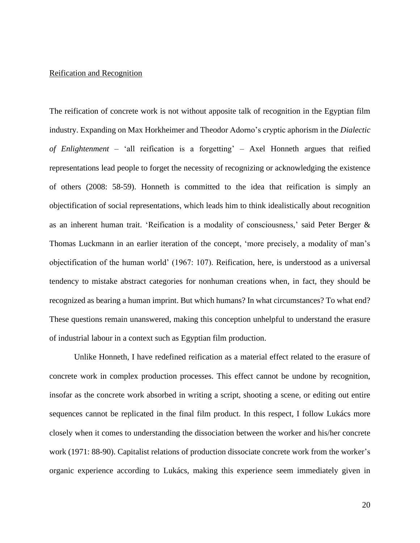# Reification and Recognition

The reification of concrete work is not without apposite talk of recognition in the Egyptian film industry. Expanding on Max Horkheimer and Theodor Adorno's cryptic aphorism in the *Dialectic of Enlightenment* – 'all reification is a forgetting' – Axel Honneth argues that reified representations lead people to forget the necessity of recognizing or acknowledging the existence of others (2008: 58-59). Honneth is committed to the idea that reification is simply an objectification of social representations, which leads him to think idealistically about recognition as an inherent human trait. 'Reification is a modality of consciousness,' said Peter Berger & Thomas Luckmann in an earlier iteration of the concept, 'more precisely, a modality of man's objectification of the human world' (1967: 107). Reification, here, is understood as a universal tendency to mistake abstract categories for nonhuman creations when, in fact, they should be recognized as bearing a human imprint. But which humans? In what circumstances? To what end? These questions remain unanswered, making this conception unhelpful to understand the erasure of industrial labour in a context such as Egyptian film production.

Unlike Honneth, I have redefined reification as a material effect related to the erasure of concrete work in complex production processes. This effect cannot be undone by recognition, insofar as the concrete work absorbed in writing a script, shooting a scene, or editing out entire sequences cannot be replicated in the final film product. In this respect, I follow Lukács more closely when it comes to understanding the dissociation between the worker and his/her concrete work (1971: 88-90). Capitalist relations of production dissociate concrete work from the worker's organic experience according to Lukács, making this experience seem immediately given in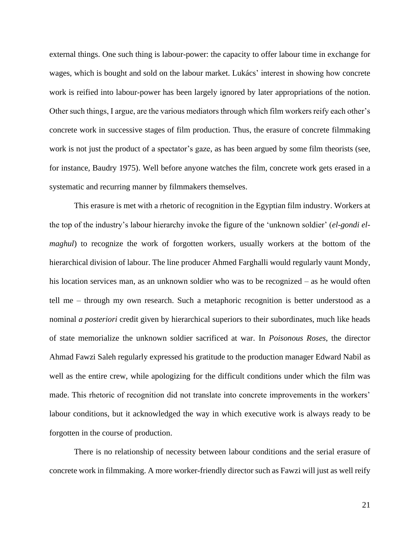external things. One such thing is labour-power: the capacity to offer labour time in exchange for wages, which is bought and sold on the labour market. Lukács' interest in showing how concrete work is reified into labour-power has been largely ignored by later appropriations of the notion. Other such things, I argue, are the various mediators through which film workers reify each other's concrete work in successive stages of film production. Thus, the erasure of concrete filmmaking work is not just the product of a spectator's gaze, as has been argued by some film theorists (see, for instance, Baudry 1975). Well before anyone watches the film, concrete work gets erased in a systematic and recurring manner by filmmakers themselves.

This erasure is met with a rhetoric of recognition in the Egyptian film industry. Workers at the top of the industry's labour hierarchy invoke the figure of the 'unknown soldier' (*el-gondi elmaghul*) to recognize the work of forgotten workers, usually workers at the bottom of the hierarchical division of labour. The line producer Ahmed Farghalli would regularly vaunt Mondy, his location services man, as an unknown soldier who was to be recognized – as he would often tell me – through my own research. Such a metaphoric recognition is better understood as a nominal *a posteriori* credit given by hierarchical superiors to their subordinates, much like heads of state memorialize the unknown soldier sacrificed at war. In *Poisonous Roses*, the director Ahmad Fawzi Saleh regularly expressed his gratitude to the production manager Edward Nabil as well as the entire crew, while apologizing for the difficult conditions under which the film was made. This rhetoric of recognition did not translate into concrete improvements in the workers' labour conditions, but it acknowledged the way in which executive work is always ready to be forgotten in the course of production.

There is no relationship of necessity between labour conditions and the serial erasure of concrete work in filmmaking. A more worker-friendly director such as Fawzi will just as well reify

21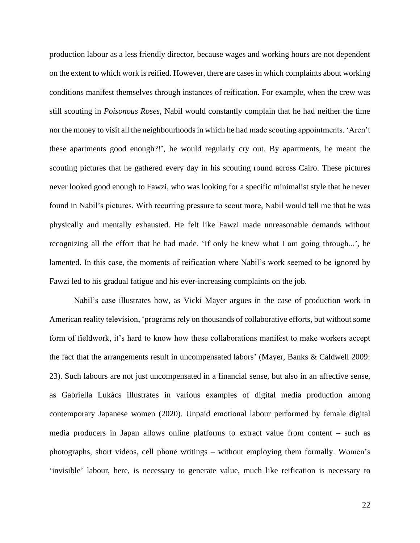production labour as a less friendly director, because wages and working hours are not dependent on the extent to which work is reified. However, there are cases in which complaints about working conditions manifest themselves through instances of reification. For example, when the crew was still scouting in *Poisonous Roses*, Nabil would constantly complain that he had neither the time nor the money to visit all the neighbourhoods in which he had made scouting appointments. 'Aren't these apartments good enough?!', he would regularly cry out. By apartments, he meant the scouting pictures that he gathered every day in his scouting round across Cairo. These pictures never looked good enough to Fawzi, who was looking for a specific minimalist style that he never found in Nabil's pictures. With recurring pressure to scout more, Nabil would tell me that he was physically and mentally exhausted. He felt like Fawzi made unreasonable demands without recognizing all the effort that he had made. 'If only he knew what I am going through...', he lamented. In this case, the moments of reification where Nabil's work seemed to be ignored by Fawzi led to his gradual fatigue and his ever-increasing complaints on the job.

Nabil's case illustrates how, as Vicki Mayer argues in the case of production work in American reality television, 'programs rely on thousands of collaborative efforts, but without some form of fieldwork, it's hard to know how these collaborations manifest to make workers accept the fact that the arrangements result in uncompensated labors' (Mayer, Banks & Caldwell 2009: 23). Such labours are not just uncompensated in a financial sense, but also in an affective sense, as Gabriella Lukács illustrates in various examples of digital media production among contemporary Japanese women (2020). Unpaid emotional labour performed by female digital media producers in Japan allows online platforms to extract value from content – such as photographs, short videos, cell phone writings – without employing them formally. Women's 'invisible' labour, here, is necessary to generate value, much like reification is necessary to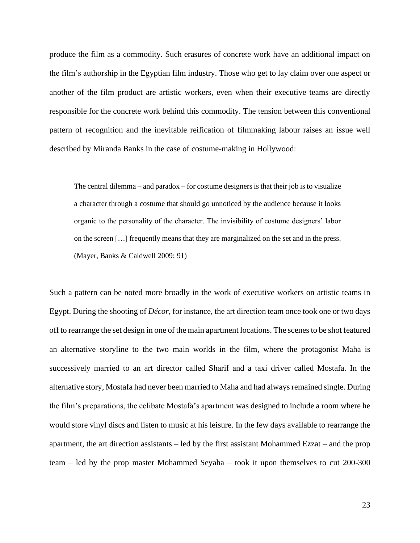produce the film as a commodity. Such erasures of concrete work have an additional impact on the film's authorship in the Egyptian film industry. Those who get to lay claim over one aspect or another of the film product are artistic workers, even when their executive teams are directly responsible for the concrete work behind this commodity. The tension between this conventional pattern of recognition and the inevitable reification of filmmaking labour raises an issue well described by Miranda Banks in the case of costume-making in Hollywood:

The central dilemma – and paradox – for costume designers is that their job is to visualize a character through a costume that should go unnoticed by the audience because it looks organic to the personality of the character. The invisibility of costume designers' labor on the screen […] frequently means that they are marginalized on the set and in the press. (Mayer, Banks & Caldwell 2009: 91)

Such a pattern can be noted more broadly in the work of executive workers on artistic teams in Egypt. During the shooting of *Décor*, for instance, the art direction team once took one or two days off to rearrange the set design in one of the main apartment locations. The scenes to be shot featured an alternative storyline to the two main worlds in the film, where the protagonist Maha is successively married to an art director called Sharif and a taxi driver called Mostafa. In the alternative story, Mostafa had never been married to Maha and had alwaysremained single. During the film's preparations, the celibate Mostafa's apartment was designed to include a room where he would store vinyl discs and listen to music at his leisure. In the few days available to rearrange the apartment, the art direction assistants – led by the first assistant Mohammed Ezzat – and the prop team – led by the prop master Mohammed Seyaha – took it upon themselves to cut 200-300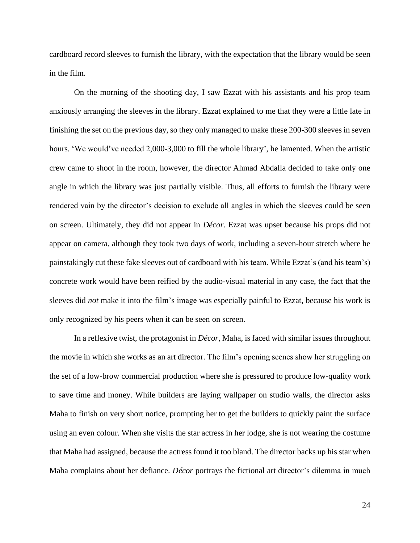cardboard record sleeves to furnish the library, with the expectation that the library would be seen in the film.

On the morning of the shooting day, I saw Ezzat with his assistants and his prop team anxiously arranging the sleeves in the library. Ezzat explained to me that they were a little late in finishing the set on the previous day, so they only managed to make these 200-300 sleeves in seven hours. 'We would've needed 2,000-3,000 to fill the whole library', he lamented. When the artistic crew came to shoot in the room, however, the director Ahmad Abdalla decided to take only one angle in which the library was just partially visible. Thus, all efforts to furnish the library were rendered vain by the director's decision to exclude all angles in which the sleeves could be seen on screen. Ultimately, they did not appear in *Décor*. Ezzat was upset because his props did not appear on camera, although they took two days of work, including a seven-hour stretch where he painstakingly cut these fake sleeves out of cardboard with his team. While Ezzat's (and his team's) concrete work would have been reified by the audio-visual material in any case, the fact that the sleeves did *not* make it into the film's image was especially painful to Ezzat, because his work is only recognized by his peers when it can be seen on screen.

In a reflexive twist, the protagonist in *Décor*, Maha, is faced with similar issues throughout the movie in which she works as an art director. The film's opening scenes show her struggling on the set of a low-brow commercial production where she is pressured to produce low-quality work to save time and money. While builders are laying wallpaper on studio walls, the director asks Maha to finish on very short notice, prompting her to get the builders to quickly paint the surface using an even colour. When she visits the star actress in her lodge, she is not wearing the costume that Maha had assigned, because the actress found it too bland. The director backs up his star when Maha complains about her defiance. *Décor* portrays the fictional art director's dilemma in much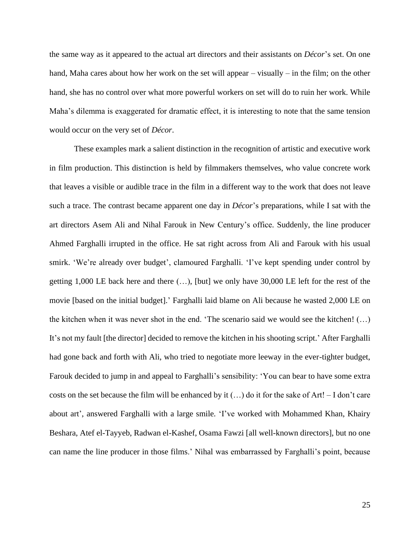the same way as it appeared to the actual art directors and their assistants on *Décor*'s set. On one hand, Maha cares about how her work on the set will appear – visually – in the film; on the other hand, she has no control over what more powerful workers on set will do to ruin her work. While Maha's dilemma is exaggerated for dramatic effect, it is interesting to note that the same tension would occur on the very set of *Décor*.

These examples mark a salient distinction in the recognition of artistic and executive work in film production. This distinction is held by filmmakers themselves, who value concrete work that leaves a visible or audible trace in the film in a different way to the work that does not leave such a trace. The contrast became apparent one day in *Décor*'s preparations, while I sat with the art directors Asem Ali and Nihal Farouk in New Century's office. Suddenly, the line producer Ahmed Farghalli irrupted in the office. He sat right across from Ali and Farouk with his usual smirk. 'We're already over budget', clamoured Farghalli. 'I've kept spending under control by getting 1,000 LE back here and there  $(\ldots)$ , [but] we only have 30,000 LE left for the rest of the movie [based on the initial budget].' Farghalli laid blame on Ali because he wasted 2,000 LE on the kitchen when it was never shot in the end. 'The scenario said we would see the kitchen! (…) It's not my fault [the director] decided to remove the kitchen in his shooting script.' After Farghalli had gone back and forth with Ali, who tried to negotiate more leeway in the ever-tighter budget, Farouk decided to jump in and appeal to Farghalli's sensibility: 'You can bear to have some extra costs on the set because the film will be enhanced by it  $(...)$  do it for the sake of Art! – I don't care about art', answered Farghalli with a large smile. 'I've worked with Mohammed Khan, Khairy Beshara, Atef el-Tayyeb, Radwan el-Kashef, Osama Fawzi [all well-known directors], but no one can name the line producer in those films.' Nihal was embarrassed by Farghalli's point, because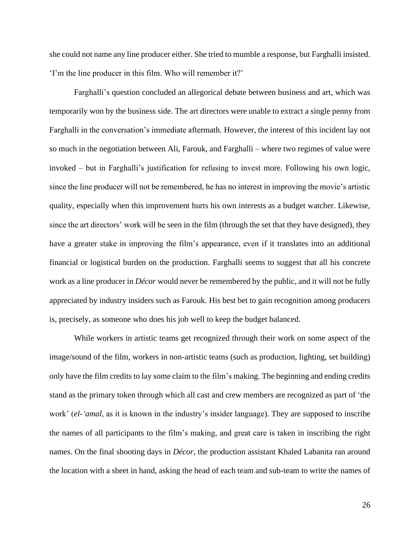she could not name any line producer either. She tried to mumble a response, but Farghalli insisted. 'I'm the line producer in this film. Who will remember it?'

Farghalli's question concluded an allegorical debate between business and art, which was temporarily won by the business side. The art directors were unable to extract a single penny from Farghalli in the conversation's immediate aftermath. However, the interest of this incident lay not so much in the negotiation between Ali, Farouk, and Farghalli – where two regimes of value were invoked – but in Farghalli's justification for refusing to invest more. Following his own logic, since the line producer will not be remembered, he has no interest in improving the movie's artistic quality, especially when this improvement hurts his own interests as a budget watcher. Likewise, since the art directors' work will be seen in the film (through the set that they have designed), they have a greater stake in improving the film's appearance, even if it translates into an additional financial or logistical burden on the production. Farghalli seems to suggest that all his concrete work as a line producer in *Décor* would never be remembered by the public, and it will not be fully appreciated by industry insiders such as Farouk. His best bet to gain recognition among producers is, precisely, as someone who does his job well to keep the budget balanced.

While workers in artistic teams get recognized through their work on some aspect of the image/sound of the film, workers in non-artistic teams (such as production, lighting, set building) only have the film credits to lay some claim to the film's making. The beginning and ending credits stand as the primary token through which all cast and crew members are recognized as part of 'the work' (*el-'amal*, as it is known in the industry's insider language). They are supposed to inscribe the names of all participants to the film's making, and great care is taken in inscribing the right names. On the final shooting days in *Décor*, the production assistant Khaled Labanita ran around the location with a sheet in hand, asking the head of each team and sub-team to write the names of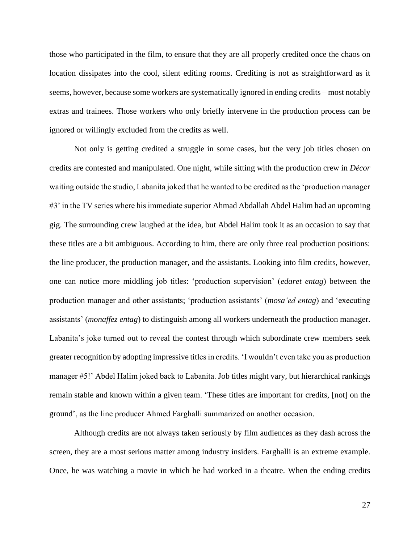those who participated in the film, to ensure that they are all properly credited once the chaos on location dissipates into the cool, silent editing rooms. Crediting is not as straightforward as it seems, however, because some workers are systematically ignored in ending credits – most notably extras and trainees. Those workers who only briefly intervene in the production process can be ignored or willingly excluded from the credits as well.

Not only is getting credited a struggle in some cases, but the very job titles chosen on credits are contested and manipulated. One night, while sitting with the production crew in *Décor* waiting outside the studio, Labanita joked that he wanted to be credited as the 'production manager #3' in the TV series where his immediate superior Ahmad Abdallah Abdel Halim had an upcoming gig. The surrounding crew laughed at the idea, but Abdel Halim took it as an occasion to say that these titles are a bit ambiguous. According to him, there are only three real production positions: the line producer, the production manager, and the assistants. Looking into film credits, however, one can notice more middling job titles: 'production supervision' (*edaret entag*) between the production manager and other assistants; 'production assistants' (*mosa'ed entag*) and 'executing assistants' (*monaffez entag*) to distinguish among all workers underneath the production manager. Labanita's joke turned out to reveal the contest through which subordinate crew members seek greater recognition by adopting impressive titles in credits. 'I wouldn't even take you as production manager #5!' Abdel Halim joked back to Labanita. Job titles might vary, but hierarchical rankings remain stable and known within a given team. 'These titles are important for credits, [not] on the ground', as the line producer Ahmed Farghalli summarized on another occasion.

Although credits are not always taken seriously by film audiences as they dash across the screen, they are a most serious matter among industry insiders. Farghalli is an extreme example. Once, he was watching a movie in which he had worked in a theatre. When the ending credits

27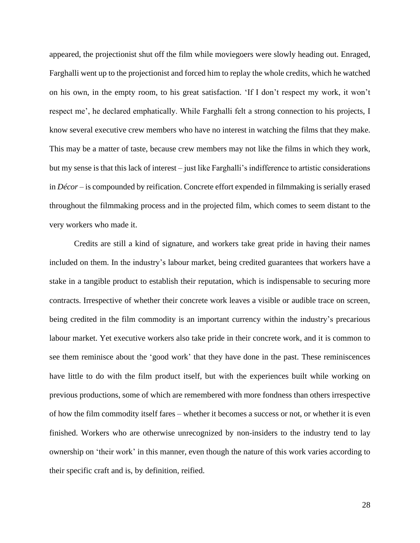appeared, the projectionist shut off the film while moviegoers were slowly heading out. Enraged, Farghalli went up to the projectionist and forced him to replay the whole credits, which he watched on his own, in the empty room, to his great satisfaction. 'If I don't respect my work, it won't respect me', he declared emphatically. While Farghalli felt a strong connection to his projects, I know several executive crew members who have no interest in watching the films that they make. This may be a matter of taste, because crew members may not like the films in which they work, but my sense is that this lack of interest – just like Farghalli's indifference to artistic considerations in *Décor* – is compounded by reification. Concrete effort expended in filmmaking is serially erased throughout the filmmaking process and in the projected film, which comes to seem distant to the very workers who made it.

Credits are still a kind of signature, and workers take great pride in having their names included on them. In the industry's labour market, being credited guarantees that workers have a stake in a tangible product to establish their reputation, which is indispensable to securing more contracts. Irrespective of whether their concrete work leaves a visible or audible trace on screen, being credited in the film commodity is an important currency within the industry's precarious labour market. Yet executive workers also take pride in their concrete work, and it is common to see them reminisce about the 'good work' that they have done in the past. These reminiscences have little to do with the film product itself, but with the experiences built while working on previous productions, some of which are remembered with more fondness than others irrespective of how the film commodity itself fares – whether it becomes a success or not, or whether it is even finished. Workers who are otherwise unrecognized by non-insiders to the industry tend to lay ownership on 'their work' in this manner, even though the nature of this work varies according to their specific craft and is, by definition, reified.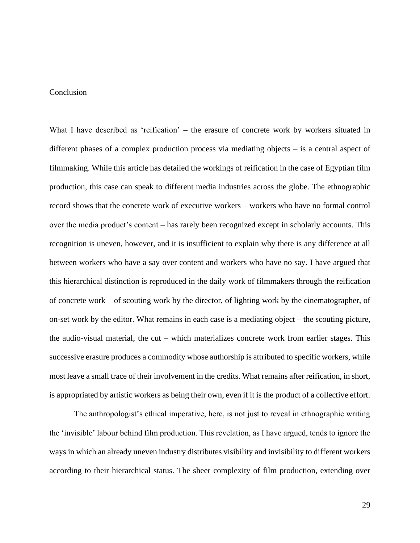# Conclusion

What I have described as 'reification' – the erasure of concrete work by workers situated in different phases of a complex production process via mediating objects – is a central aspect of filmmaking. While this article has detailed the workings of reification in the case of Egyptian film production, this case can speak to different media industries across the globe. The ethnographic record shows that the concrete work of executive workers – workers who have no formal control over the media product's content – has rarely been recognized except in scholarly accounts. This recognition is uneven, however, and it is insufficient to explain why there is any difference at all between workers who have a say over content and workers who have no say. I have argued that this hierarchical distinction is reproduced in the daily work of filmmakers through the reification of concrete work – of scouting work by the director, of lighting work by the cinematographer, of on-set work by the editor. What remains in each case is a mediating object – the scouting picture, the audio-visual material, the cut – which materializes concrete work from earlier stages. This successive erasure produces a commodity whose authorship is attributed to specific workers, while most leave a small trace of their involvement in the credits. What remains after reification, in short, is appropriated by artistic workers as being their own, even if it is the product of a collective effort.

The anthropologist's ethical imperative, here, is not just to reveal in ethnographic writing the 'invisible' labour behind film production. This revelation, as I have argued, tends to ignore the ways in which an already uneven industry distributes visibility and invisibility to different workers according to their hierarchical status. The sheer complexity of film production, extending over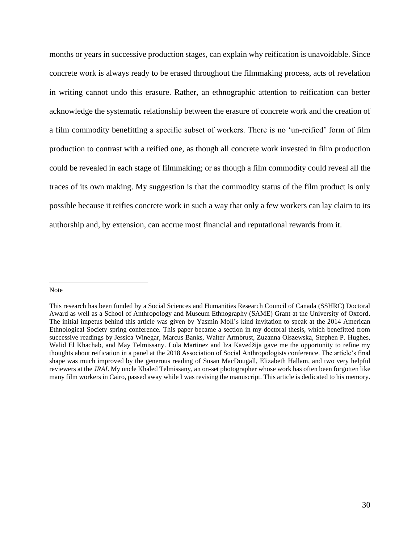months or years in successive production stages, can explain why reification is unavoidable. Since concrete work is always ready to be erased throughout the filmmaking process, acts of revelation in writing cannot undo this erasure. Rather, an ethnographic attention to reification can better acknowledge the systematic relationship between the erasure of concrete work and the creation of a film commodity benefitting a specific subset of workers. There is no 'un-reified' form of film production to contrast with a reified one, as though all concrete work invested in film production could be revealed in each stage of filmmaking; or as though a film commodity could reveal all the traces of its own making. My suggestion is that the commodity status of the film product is only possible because it reifies concrete work in such a way that only a few workers can lay claim to its authorship and, by extension, can accrue most financial and reputational rewards from it.

#### Note

This research has been funded by a Social Sciences and Humanities Research Council of Canada (SSHRC) Doctoral Award as well as a School of Anthropology and Museum Ethnography (SAME) Grant at the University of Oxford. The initial impetus behind this article was given by Yasmin Moll's kind invitation to speak at the 2014 American Ethnological Society spring conference. This paper became a section in my doctoral thesis, which benefitted from successive readings by Jessica Winegar, Marcus Banks, Walter Armbrust, Zuzanna Olszewska, Stephen P. Hughes, Walid El Khachab, and May Telmissany. Lola Martinez and Iza Kavedžija gave me the opportunity to refine my thoughts about reification in a panel at the 2018 Association of Social Anthropologists conference. The article's final shape was much improved by the generous reading of Susan MacDougall, Elizabeth Hallam, and two very helpful reviewers at the *JRAI*. My uncle Khaled Telmissany, an on-set photographer whose work has often been forgotten like many film workers in Cairo, passed away while I was revising the manuscript. This article is dedicated to his memory.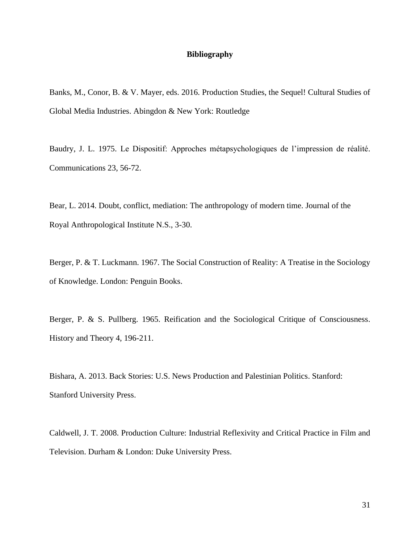# **Bibliography**

Banks, M., Conor, B. & V. Mayer, eds. 2016. Production Studies, the Sequel! Cultural Studies of Global Media Industries. Abingdon & New York: Routledge

Baudry, J. L. 1975. Le Dispositif: Approches métapsychologiques de l'impression de réalité. Communications 23, 56-72.

Bear, L. 2014. Doubt, conflict, mediation: The anthropology of modern time. Journal of the Royal Anthropological Institute N.S., 3-30.

Berger, P. & T. Luckmann. 1967. The Social Construction of Reality: A Treatise in the Sociology of Knowledge. London: Penguin Books.

Berger, P. & S. Pullberg. 1965. Reification and the Sociological Critique of Consciousness. History and Theory 4, 196-211.

Bishara, A. 2013. Back Stories: U.S. News Production and Palestinian Politics. Stanford: Stanford University Press.

Caldwell, J. T. 2008. Production Culture: Industrial Reflexivity and Critical Practice in Film and Television. Durham & London: Duke University Press.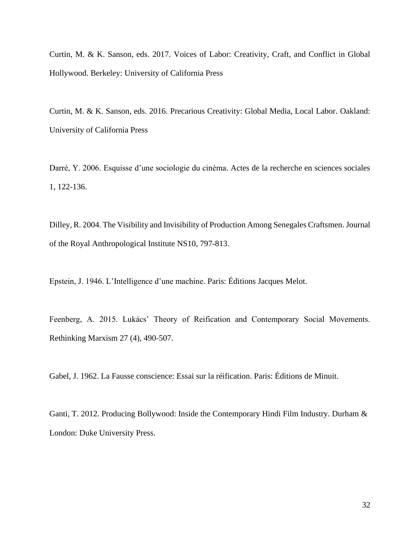Curtin, M. & K. Sanson, eds. 2017. Voices of Labor: Creativity, Craft, and Conflict in Global Hollywood. Berkeley: University of California Press

Curtin, M. & K. Sanson, eds. 2016. Precarious Creativity: Global Media, Local Labor. Oakland: University of California Press

Darré, Y. 2006. Esquisse d'une sociologie du cinéma. Actes de la recherche en sciences sociales 1, 122-136.

Dilley, R. 2004. The Visibility and Invisibility of Production Among Senegales Craftsmen. Journal of the Royal Anthropological Institute NS10, 797-813.

Epstein, J. 1946. L'Intelligence d'une machine. Paris: Éditions Jacques Melot.

Feenberg, A. 2015. Lukács' Theory of Reification and Contemporary Social Movements. Rethinking Marxism 27 (4), 490-507.

Gabel, J. 1962. La Fausse conscience: Essai sur la réification. Paris: Éditions de Minuit.

Ganti, T. 2012. Producing Bollywood: Inside the Contemporary Hindi Film Industry. Durham & London: Duke University Press.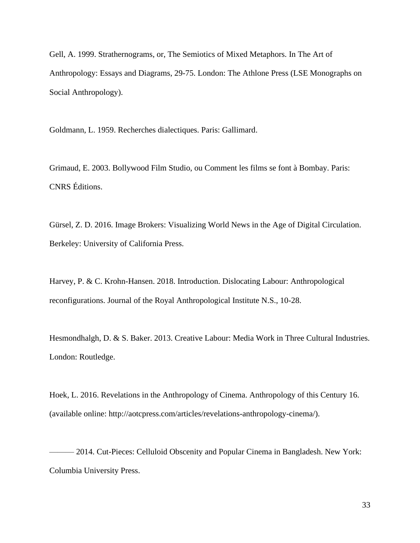Gell, A. 1999. Strathernograms, or, The Semiotics of Mixed Metaphors. In The Art of Anthropology: Essays and Diagrams, 29-75. London: The Athlone Press (LSE Monographs on Social Anthropology).

Goldmann, L. 1959. Recherches dialectiques. Paris: Gallimard.

Grimaud, E. 2003. Bollywood Film Studio, ou Comment les films se font à Bombay. Paris: CNRS Éditions.

Gürsel, Z. D. 2016. Image Brokers: Visualizing World News in the Age of Digital Circulation. Berkeley: University of California Press.

Harvey, P. & C. Krohn-Hansen. 2018. Introduction. Dislocating Labour: Anthropological reconfigurations. Journal of the Royal Anthropological Institute N.S., 10-28.

Hesmondhalgh, D. & S. Baker. 2013. Creative Labour: Media Work in Three Cultural Industries. London: Routledge.

Hoek, L. 2016. Revelations in the Anthropology of Cinema. Anthropology of this Century 16. (available online: [http://aotcpress.com/articles/revelations-anthropology-cinema/\)](http://aotcpress.com/articles/revelations-anthropology-cinema/).

- 2014. Cut-Pieces: Celluloid Obscenity and Popular Cinema in Bangladesh. New York: Columbia University Press.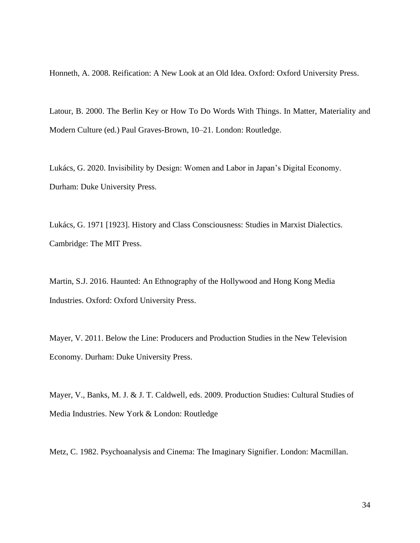Honneth, A. 2008. Reification: A New Look at an Old Idea. Oxford: Oxford University Press.

Latour, B. 2000. The Berlin Key or How To Do Words With Things. In Matter, Materiality and Modern Culture (ed.) Paul Graves-Brown, 10–21. London: Routledge.

Lukács, G. 2020. Invisibility by Design: Women and Labor in Japan's Digital Economy. Durham: Duke University Press.

Lukács, G. 1971 [1923]. History and Class Consciousness: Studies in Marxist Dialectics. Cambridge: The MIT Press.

Martin, S.J. 2016. Haunted: An Ethnography of the Hollywood and Hong Kong Media Industries. Oxford: Oxford University Press.

Mayer, V. 2011. Below the Line: Producers and Production Studies in the New Television Economy. Durham: Duke University Press.

Mayer, V., Banks, M. J. & J. T. Caldwell, eds. 2009. Production Studies: Cultural Studies of Media Industries. New York & London: Routledge

Metz, C. 1982. Psychoanalysis and Cinema: The Imaginary Signifier. London: Macmillan.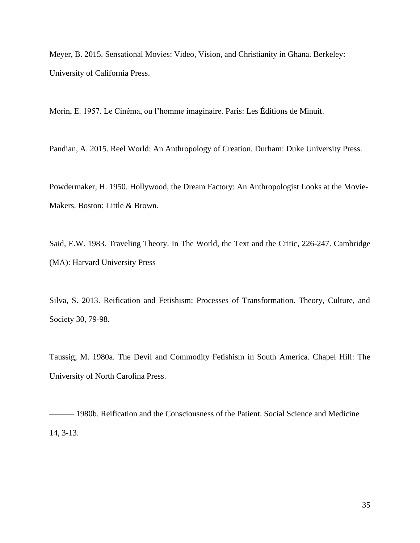Meyer, B. 2015. Sensational Movies: Video, Vision, and Christianity in Ghana. Berkeley: University of California Press.

Morin, E. 1957. Le Cinéma, ou l'homme imaginaire. Paris: Les Éditions de Minuit.

Pandian, A. 2015. Reel World: An Anthropology of Creation. Durham: Duke University Press.

Powdermaker, H. 1950. Hollywood, the Dream Factory: An Anthropologist Looks at the Movie-Makers. Boston: Little & Brown.

Said, E.W. 1983. Traveling Theory. In The World, the Text and the Critic, 226-247. Cambridge (MA): Harvard University Press

Silva, S. 2013. Reification and Fetishism: Processes of Transformation. Theory, Culture, and Society 30, 79-98.

Taussig, M. 1980a. The Devil and Commodity Fetishism in South America. Chapel Hill: The University of North Carolina Press.

——— 1980b. Reification and the Consciousness of the Patient. Social Science and Medicine 14, 3-13.